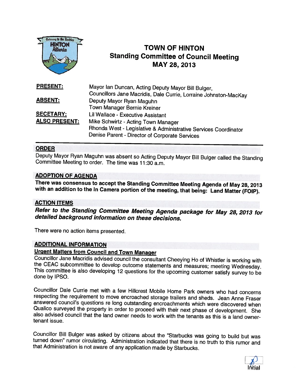

# **HINTON TOWN OF HINTON** Standing Committee of Council Meeting : MAY 28, <sup>2013</sup>

| <b>PRESENT:</b>      | Mayor Ian Duncan, Acting Deputy Mayor Bill Bulger,               |
|----------------------|------------------------------------------------------------------|
|                      | Councillors Jane Macridis, Dale Currie, Lorraine Johnston-MacKay |
| <b>ABSENT:</b>       | Deputy Mayor Ryan Maguhn                                         |
|                      | Town Manager Bernie Kreiner                                      |
| <b>SECETARY:</b>     | Lil Wallace - Executive Assistant                                |
| <b>ALSO PRESENT:</b> | Mike Schwirtz - Acting Town Manager                              |
|                      | Rhonda West - Legislative & Administrative Services Coordinator  |
|                      | Denise Parent - Director of Corporate Services                   |

#### ORDER

Deputy Mayor Ryan Maguhn was absent so Acting Deputy Mayor Bill Bulger called the Standing Committee Meeting to order. The time was 11:30 a.m.

#### ADOPTION OF AGENDA

There was consensus to accept the Standing Committee Meeting Agenda of May 28, <sup>2013</sup> with an addition to the In Camera portion of the meeting, that being: Land Matter (FOIP).

#### ACTION ITEMS

Refer to the Standing Committee Meeting Agenda package for May 28, <sup>2013</sup> for detailed background information on these decisions.

There were no action items presented.

#### ADDITIONAL INFORMATION

Urgent Matters from Council and Town Manager<br>Councillor Jane Macridis advised council the consultant Cheeying Ho of Whistler is working with the CEAC subcommittee to develop outcome statements and measures; meeting Wednesday.<br>This committee is also developing 12 questions for the upcoming customer satisfy survey to be done by IPSO.

Councillor Dale Currie met with a few Hillcrest Mobile Home Park owners who had concerns respecting the requirement to move encroached storage trailers and sheds. Jean Anne Fraser answered council's questions re long outst tenant issue.

Councillor Bill Bulger was asked by citizens about the "Starbucks was going to build but was turned down" rumor circulating. Administration indicated that there is no truth to this rumor and that Administration is not awar

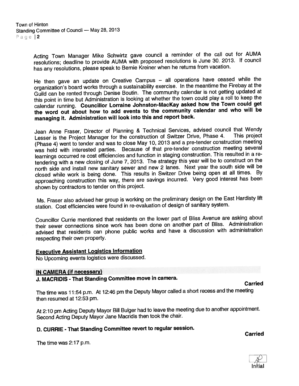Acting Town Manager Mike Schwirtz gave council <sup>a</sup> reminder of the call out for AUMA resolutions; deadline to provide AUMA with propose<sup>d</sup> resolutions is June 30, 2013. If council has any resolutions, <sup>p</sup>lease spea<sup>k</sup> to Bernie Kreiner when he returns from vacation.

He then gave an update on Creative Campus — all operations have ceased while the organization's board works through <sup>a</sup> sustainability exercise. In the meantime the Firebay at the Guild can be rented through Denise Boutin. The community calendar is not getting updated at this point in time but Administration is looking at whether the town could <sup>p</sup>lay <sup>a</sup> roll to keep the calendar running. Councillor Lorraine Johnston-Mackay asked how the Town could ge<sup>t</sup> the word out about how to add events to the community calendar and who will be managing it. Administration will look into this and repor<sup>t</sup> back.

Jean Anne Fraser, Director of Planning & Technical Services, advised council that Wendy<br>Legasr is the Project Manager for the construction of Switzer Drive, Phase 4. This project Lesser is the Project Manager for the construction of Switzer Drive, Phase 4. (Phase 4) went to tender and was to close May 10, <sup>2013</sup> and <sup>a</sup> pre-tender construction meeting was held with interested parties. Because of that pre-tender construction meeting several learnings occurred re cost efficiencies and function in staging construction. This resulted in <sup>a</sup> re tendering with <sup>a</sup> new closing of June 7, 2013. The strategy this year will be to construct on the north side and install new sanitary sewer and new <sup>2</sup> lanes. Next year the south side will be closed while work is being done. This results in Switzer Drive being open at all times. By approaching construction this way, there are savings incurred. Very goo<sup>d</sup> interest has been shown by contractors to tender on this project.

Ms. Fraser also advised her group is working on the preliminary design on the East Hardisty lift station. Cost efficiencies were found in re-evaluation of design of sanitary system.

Councillor Currie mentioned that residents on the lower par<sup>t</sup> of Bliss Avenue are asking about their sewer connections since work has been done on another par<sup>t</sup> of Bliss. Administration advised that residents can <sup>p</sup>hone public works and have <sup>a</sup> discussion with administration respecting their own property.

#### Executive Assistant Logistics Information

No Upcoming events logistics were discussed.

#### IN CAMERA (if necessary)

## J. MACRIDIS -That Standing Committee move in camera. Carried

The time was 11:54 p.m. At 12:46 pm the Deputy Mayor called <sup>a</sup> short recess and the meeting then resumed at 12:53 pm.

At 2:10 pm Acting Deputy Mayor Bill Bulger had to leave the meeting due to another appointment. Second Acting Deputy Mayor Jane Macridis then took the chair.

## D. CURRIE - That Standing Committee revert to regular session.<br>Carried

The time was 2:17 p.m.

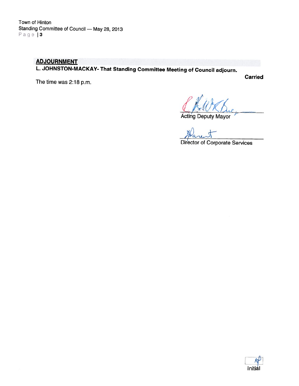### **ADJOURNMENT** L. JOHNSTON-MACKAY- That Standing Committee Meeting of Council adjourn.

The time was 2:18 p.m.

Carried

Acting Deputy Mayor

Director of Corporate Services